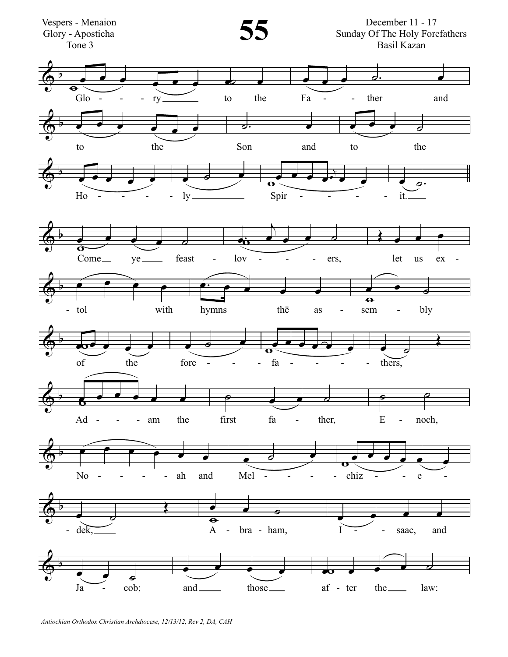

Antiochian Orthodox Christian Archdiocese, 12/13/12, Rev 2, DA, CAH